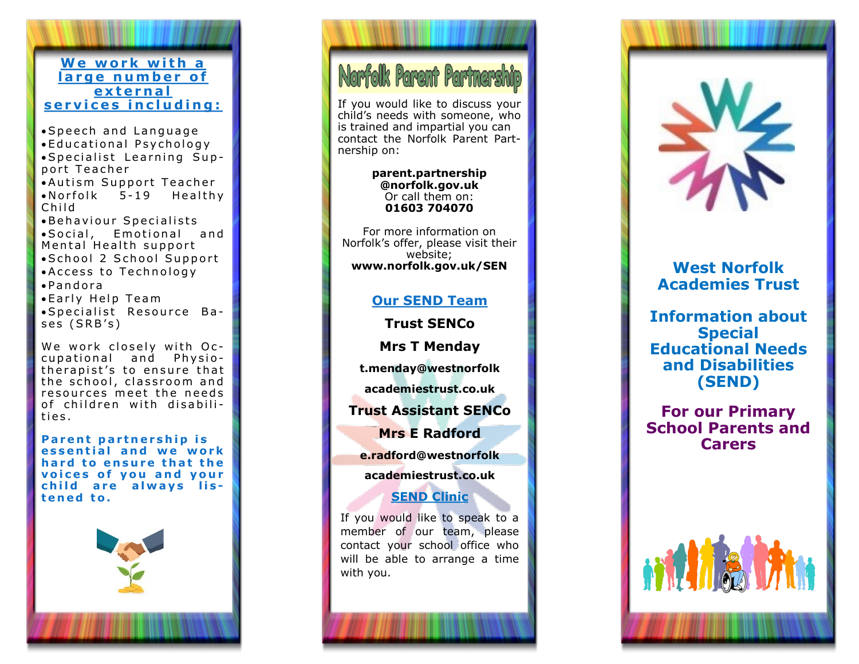### **We work with a** large number of **e x t e r n a l** s er vices in cluding:

• Speech and Language • Educational Psychology • Specialist Learning Support Teacher • Autism Support Teacher  $\bullet$  Norfolk  $5-19$  Healthy C h i l d Behaviour Specialists • Social, Emotional and Mental Health support · School 2 School Support • Access to Technology  $\bullet$  P and or a • Early Help Team ·Specialist Resource Ba-

We work closely with Occupational and Physiotherapist's to ensure that  $\|$ the school, classroom and resources meet the needs of children with disabilit i e s .

ses (SRB's)

**Parent partnership is essential and we work** hard to ensure that the **voices of you and your** child are always lis**t e n e d t o .**



# Norfolk Parent Partnership

If you would like to discuss your child 's needs with someone, who is trained and impartial you can contact the Norfolk Parent Partnership on:

#### **parent.partnership @norfolk.gov.uk** Or call them on: **01603 704070**

For more information on Norfolk 's offer, please visit their website; **www.norfolk.gov.uk/SEN West Norfolk**

# **Our SEND Team**

**Trust SENCo**

**Mrs T Menday**

**t.menday@westnorfolk**

**academiestrust.co.uk**

**Trust Assistant SENCo**

**Mrs E Radford**

**e.radford@westnorfolk**

**academiestrust.co.uk**

# **SEND Clinic**

If you would like to speak to a member of our team, please contact your school office who will be able to arrange a time with you.



# **Academies Trust**

**Information about Special Educational Needs and Disabilities (SEND)**

**For our Primary School Parents and Carers**